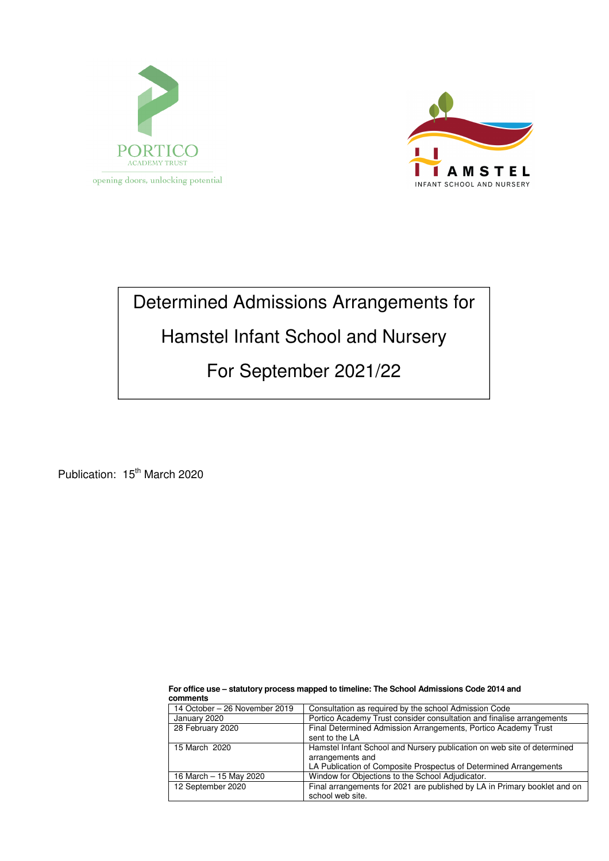



# Determined Admissions Arrangements for

## Hamstel Infant School and Nursery

## For September 2021/22

Publication: 15<sup>th</sup> March 2020

| 14 October - 26 November 2019 | Consultation as required by the school Admission Code                     |
|-------------------------------|---------------------------------------------------------------------------|
| January 2020                  | Portico Academy Trust consider consultation and finalise arrangements     |
| 28 February 2020              | Final Determined Admission Arrangements, Portico Academy Trust            |
|                               | sent to the LA                                                            |
| 15 March 2020                 | Hamstel Infant School and Nursery publication on web site of determined   |
|                               | arrangements and                                                          |
|                               | LA Publication of Composite Prospectus of Determined Arrangements         |
| 16 March - 15 May 2020        | Window for Objections to the School Adjudicator.                          |
| 12 September 2020             | Final arrangements for 2021 are published by LA in Primary booklet and on |
|                               | school web site.                                                          |

**For office use – statutory process mapped to timeline: The School Admissions Code 2014 and comments**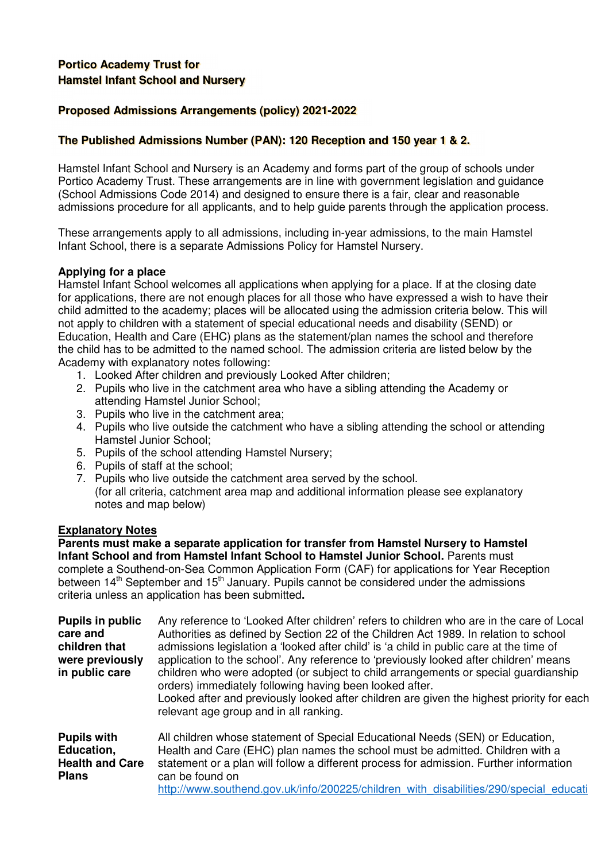### **Portico Academy Trust for Hamstel Infant School and Nursery**

### **Proposed Admissions Arrangements (policy) 2021-2022**

#### **The Published Admissions Number (PAN): 120 Reception and 150 year 1 & 2.**

Hamstel Infant School and Nursery is an Academy and forms part of the group of schools under Portico Academy Trust. These arrangements are in line with government legislation and guidance (School Admissions Code 2014) and designed to ensure there is a fair, clear and reasonable admissions procedure for all applicants, and to help guide parents through the application process.

These arrangements apply to all admissions, including in-year admissions, to the main Hamstel Infant School, there is a separate Admissions Policy for Hamstel Nursery.

#### **Applying for a place**

Hamstel Infant School welcomes all applications when applying for a place. If at the closing date for applications, there are not enough places for all those who have expressed a wish to have their child admitted to the academy; places will be allocated using the admission criteria below. This will not apply to children with a statement of special educational needs and disability (SEND) or Education, Health and Care (EHC) plans as the statement/plan names the school and therefore the child has to be admitted to the named school. The admission criteria are listed below by the Academy with explanatory notes following:

- 1. Looked After children and previously Looked After children;
- 2. Pupils who live in the catchment area who have a sibling attending the Academy or attending Hamstel Junior School;
- 3. Pupils who live in the catchment area;
- 4. Pupils who live outside the catchment who have a sibling attending the school or attending Hamstel Junior School;
- 5. Pupils of the school attending Hamstel Nursery;
- 6. Pupils of staff at the school;
- 7. Pupils who live outside the catchment area served by the school. (for all criteria, catchment area map and additional information please see explanatory notes and map below)

#### **Explanatory Notes**

**Parents must make a separate application for transfer from Hamstel Nursery to Hamstel Infant School and from Hamstel Infant School to Hamstel Junior School.** Parents must complete a Southend-on-Sea Common Application Form (CAF) for applications for Year Reception between 14<sup>th</sup> September and 15<sup>th</sup> January. Pupils cannot be considered under the admissions criteria unless an application has been submitted**.** 

| <b>Pupils in public</b><br>care and<br>children that<br>were previously<br>in public care | Any reference to 'Looked After children' refers to children who are in the care of Local<br>Authorities as defined by Section 22 of the Children Act 1989. In relation to school<br>admissions legislation a 'looked after child' is 'a child in public care at the time of<br>application to the school'. Any reference to 'previously looked after children' means<br>children who were adopted (or subject to child arrangements or special guardianship<br>orders) immediately following having been looked after.<br>Looked after and previously looked after children are given the highest priority for each<br>relevant age group and in all ranking. |
|-------------------------------------------------------------------------------------------|---------------------------------------------------------------------------------------------------------------------------------------------------------------------------------------------------------------------------------------------------------------------------------------------------------------------------------------------------------------------------------------------------------------------------------------------------------------------------------------------------------------------------------------------------------------------------------------------------------------------------------------------------------------|
| <b>Pupils with</b><br>Education,<br><b>Health and Care</b><br><b>Plans</b>                | All children whose statement of Special Educational Needs (SEN) or Education,<br>Health and Care (EHC) plan names the school must be admitted. Children with a<br>statement or a plan will follow a different process for admission. Further information<br>can be found on<br>http://www.southend.gov.uk/info/200225/children with disabilities/290/special educati                                                                                                                                                                                                                                                                                          |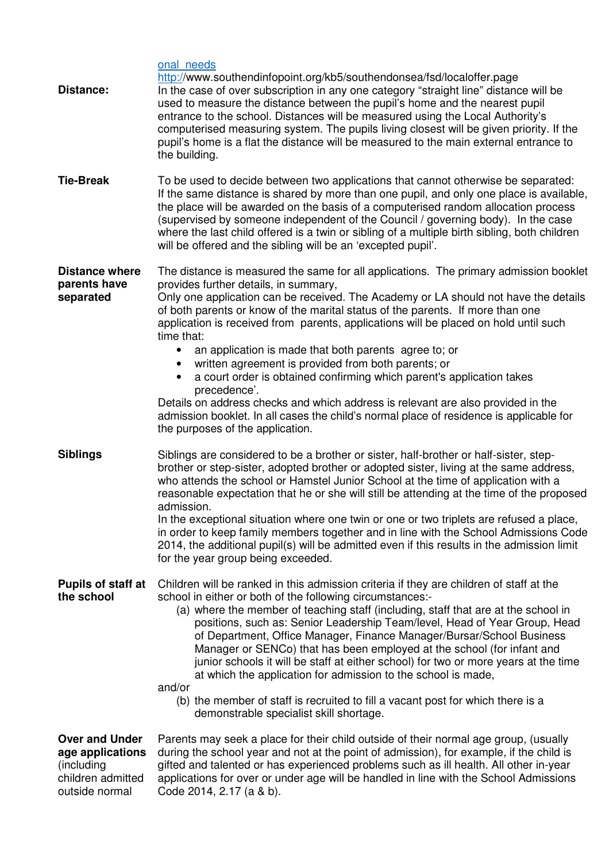| Distance:                                                                                      | onal needs<br>http://www.southendinfopoint.org/kb5/southendonsea/fsd/localoffer.page<br>In the case of over subscription in any one category "straight line" distance will be<br>used to measure the distance between the pupil's home and the nearest pupil<br>entrance to the school. Distances will be measured using the Local Authority's<br>computerised measuring system. The pupils living closest will be given priority. If the<br>pupil's home is a flat the distance will be measured to the main external entrance to<br>the building.                                                                                                                                                                                                                                                                                                    |
|------------------------------------------------------------------------------------------------|--------------------------------------------------------------------------------------------------------------------------------------------------------------------------------------------------------------------------------------------------------------------------------------------------------------------------------------------------------------------------------------------------------------------------------------------------------------------------------------------------------------------------------------------------------------------------------------------------------------------------------------------------------------------------------------------------------------------------------------------------------------------------------------------------------------------------------------------------------|
| <b>Tie-Break</b>                                                                               | To be used to decide between two applications that cannot otherwise be separated:<br>If the same distance is shared by more than one pupil, and only one place is available,<br>the place will be awarded on the basis of a computerised random allocation process<br>(supervised by someone independent of the Council / governing body). In the case<br>where the last child offered is a twin or sibling of a multiple birth sibling, both children<br>will be offered and the sibling will be an 'excepted pupil'.                                                                                                                                                                                                                                                                                                                                 |
| <b>Distance where</b><br>parents have<br>separated                                             | The distance is measured the same for all applications. The primary admission booklet<br>provides further details, in summary,<br>Only one application can be received. The Academy or LA should not have the details<br>of both parents or know of the marital status of the parents. If more than one<br>application is received from parents, applications will be placed on hold until such<br>time that:<br>an application is made that both parents agree to; or<br>written agreement is provided from both parents; or<br>$\bullet$<br>a court order is obtained confirming which parent's application takes<br>precedence'.<br>Details on address checks and which address is relevant are also provided in the<br>admission booklet. In all cases the child's normal place of residence is applicable for<br>the purposes of the application. |
| <b>Siblings</b>                                                                                | Siblings are considered to be a brother or sister, half-brother or half-sister, step-<br>brother or step-sister, adopted brother or adopted sister, living at the same address,<br>who attends the school or Hamstel Junior School at the time of application with a<br>reasonable expectation that he or she will still be attending at the time of the proposed<br>admission.<br>In the exceptional situation where one twin or one or two triplets are refused a place,<br>in order to keep family members together and in line with the School Admissions Code<br>2014, the additional pupil(s) will be admitted even if this results in the admission limit<br>for the year group being exceeded.                                                                                                                                                 |
| <b>Pupils of staff at</b><br>the school                                                        | Children will be ranked in this admission criteria if they are children of staff at the<br>school in either or both of the following circumstances:-<br>(a) where the member of teaching staff (including, staff that are at the school in<br>positions, such as: Senior Leadership Team/level, Head of Year Group, Head<br>of Department, Office Manager, Finance Manager/Bursar/School Business<br>Manager or SENCo) that has been employed at the school (for infant and<br>junior schools it will be staff at either school) for two or more years at the time<br>at which the application for admission to the school is made,<br>and/or<br>(b) the member of staff is recruited to fill a vacant post for which there is a<br>demonstrable specialist skill shortage.                                                                            |
| <b>Over and Under</b><br>age applications<br>(including<br>children admitted<br>outside normal | Parents may seek a place for their child outside of their normal age group, (usually<br>during the school year and not at the point of admission), for example, if the child is<br>gifted and talented or has experienced problems such as ill health. All other in-year<br>applications for over or under age will be handled in line with the School Admissions<br>Code 2014, 2.17 (a & b).                                                                                                                                                                                                                                                                                                                                                                                                                                                          |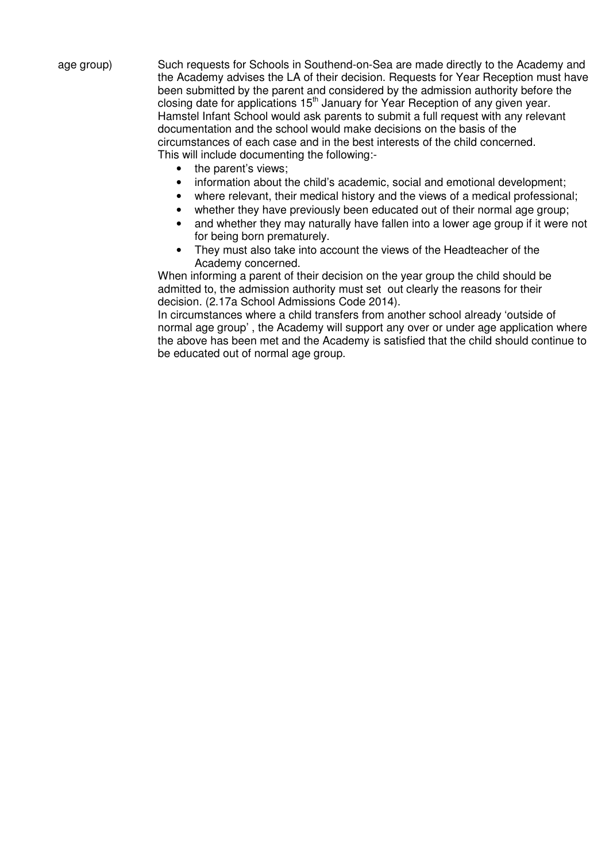age group) Such requests for Schools in Southend-on-Sea are made directly to the Academy and the Academy advises the LA of their decision. Requests for Year Reception must have been submitted by the parent and considered by the admission authority before the closing date for applications 15th January for Year Reception of any given year. Hamstel Infant School would ask parents to submit a full request with any relevant documentation and the school would make decisions on the basis of the circumstances of each case and in the best interests of the child concerned. This will include documenting the following:-

- the parent's views;
- information about the child's academic, social and emotional development;
- where relevant, their medical history and the views of a medical professional;
- whether they have previously been educated out of their normal age group;
- and whether they may naturally have fallen into a lower age group if it were not for being born prematurely.
- They must also take into account the views of the Headteacher of the Academy concerned.

When informing a parent of their decision on the year group the child should be admitted to, the admission authority must set out clearly the reasons for their decision. (2.17a School Admissions Code 2014).

In circumstances where a child transfers from another school already 'outside of normal age group' , the Academy will support any over or under age application where the above has been met and the Academy is satisfied that the child should continue to be educated out of normal age group.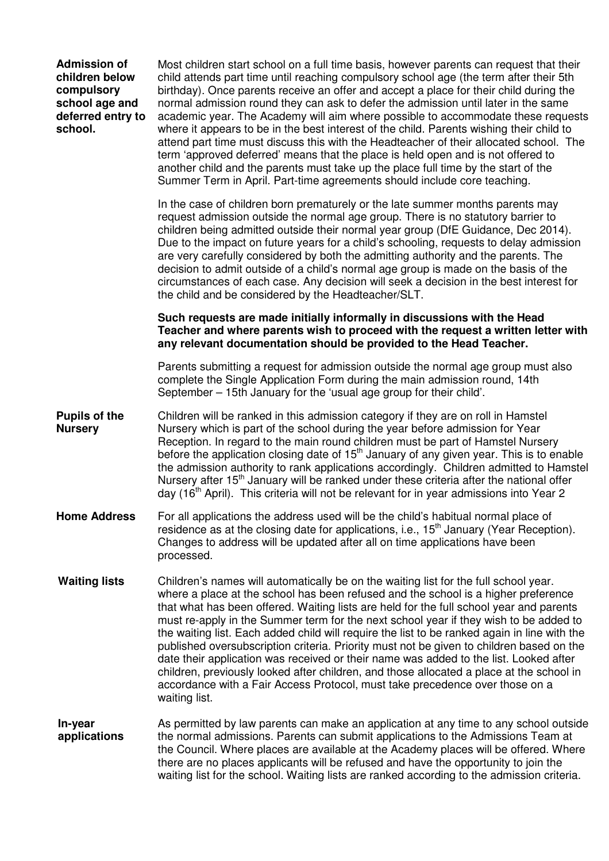| <b>Admission of</b><br>children below<br>compulsory<br>school age and<br>deferred entry to<br>school. | Most children start school on a full time basis, however parents can request that their<br>child attends part time until reaching compulsory school age (the term after their 5th<br>birthday). Once parents receive an offer and accept a place for their child during the<br>normal admission round they can ask to defer the admission until later in the same<br>academic year. The Academy will aim where possible to accommodate these requests<br>where it appears to be in the best interest of the child. Parents wishing their child to<br>attend part time must discuss this with the Headteacher of their allocated school. The<br>term 'approved deferred' means that the place is held open and is not offered to<br>another child and the parents must take up the place full time by the start of the<br>Summer Term in April. Part-time agreements should include core teaching. |
|-------------------------------------------------------------------------------------------------------|---------------------------------------------------------------------------------------------------------------------------------------------------------------------------------------------------------------------------------------------------------------------------------------------------------------------------------------------------------------------------------------------------------------------------------------------------------------------------------------------------------------------------------------------------------------------------------------------------------------------------------------------------------------------------------------------------------------------------------------------------------------------------------------------------------------------------------------------------------------------------------------------------|
|                                                                                                       | In the case of children born prematurely or the late summer months parents may<br>request admission outside the normal age group. There is no statutory barrier to<br>children being admitted outside their normal year group (DfE Guidance, Dec 2014).<br>Due to the impact on future years for a child's schooling, requests to delay admission<br>are very carefully considered by both the admitting authority and the parents. The<br>decision to admit outside of a child's normal age group is made on the basis of the<br>circumstances of each case. Any decision will seek a decision in the best interest for<br>the child and be considered by the Headteacher/SLT.                                                                                                                                                                                                                   |
|                                                                                                       | Such requests are made initially informally in discussions with the Head<br>Teacher and where parents wish to proceed with the request a written letter with<br>any relevant documentation should be provided to the Head Teacher.                                                                                                                                                                                                                                                                                                                                                                                                                                                                                                                                                                                                                                                                |
|                                                                                                       | Parents submitting a request for admission outside the normal age group must also<br>complete the Single Application Form during the main admission round, 14th<br>September - 15th January for the 'usual age group for their child'.                                                                                                                                                                                                                                                                                                                                                                                                                                                                                                                                                                                                                                                            |
| <b>Pupils of the</b><br><b>Nursery</b>                                                                | Children will be ranked in this admission category if they are on roll in Hamstel<br>Nursery which is part of the school during the year before admission for Year<br>Reception. In regard to the main round children must be part of Hamstel Nursery<br>before the application closing date of $15th$ January of any given year. This is to enable<br>the admission authority to rank applications accordingly. Children admitted to Hamstel<br>Nursery after 15 <sup>th</sup> January will be ranked under these criteria after the national offer<br>day (16 <sup>th</sup> April). This criteria will not be relevant for in year admissions into Year 2                                                                                                                                                                                                                                       |
| <b>Home Address</b>                                                                                   | For all applications the address used will be the child's habitual normal place of<br>residence as at the closing date for applications, i.e., 15 <sup>th</sup> January (Year Reception).<br>Changes to address will be updated after all on time applications have been<br>processed.                                                                                                                                                                                                                                                                                                                                                                                                                                                                                                                                                                                                            |
| <b>Waiting lists</b>                                                                                  | Children's names will automatically be on the waiting list for the full school year.<br>where a place at the school has been refused and the school is a higher preference<br>that what has been offered. Waiting lists are held for the full school year and parents<br>must re-apply in the Summer term for the next school year if they wish to be added to<br>the waiting list. Each added child will require the list to be ranked again in line with the<br>published oversubscription criteria. Priority must not be given to children based on the<br>date their application was received or their name was added to the list. Looked after<br>children, previously looked after children, and those allocated a place at the school in<br>accordance with a Fair Access Protocol, must take precedence over those on a<br>waiting list.                                                  |
| In-year<br>applications                                                                               | As permitted by law parents can make an application at any time to any school outside<br>the normal admissions. Parents can submit applications to the Admissions Team at<br>the Council. Where places are available at the Academy places will be offered. Where<br>there are no places applicants will be refused and have the opportunity to join the<br>waiting list for the school. Waiting lists are ranked according to the admission criteria.                                                                                                                                                                                                                                                                                                                                                                                                                                            |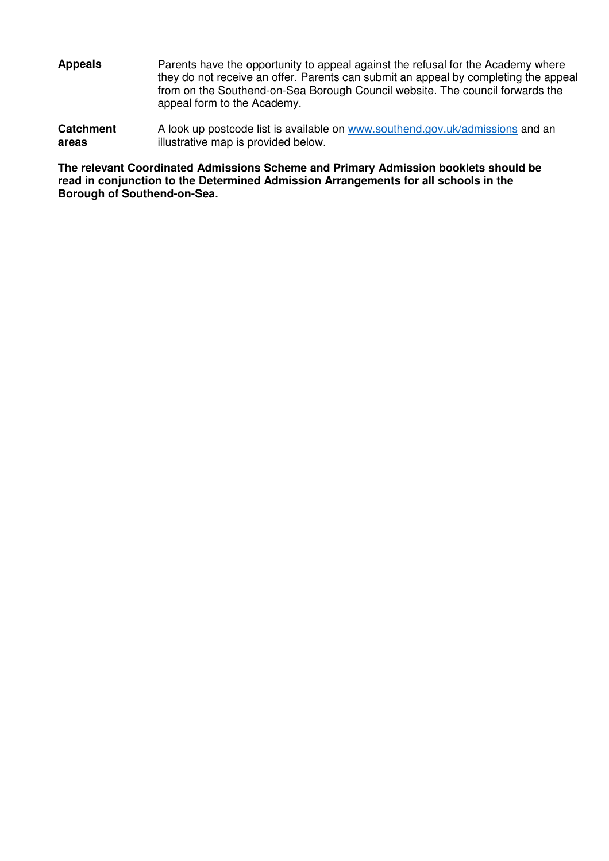| <b>Appeals</b> | Parents have the opportunity to appeal against the refusal for the Academy where<br>they do not receive an offer. Parents can submit an appeal by completing the appeal<br>from on the Southend-on-Sea Borough Council website. The council forwards the<br>appeal form to the Academy. |
|----------------|-----------------------------------------------------------------------------------------------------------------------------------------------------------------------------------------------------------------------------------------------------------------------------------------|
|                |                                                                                                                                                                                                                                                                                         |

**Catchment areas**  A look up postcode list is available on www.southend.gov.uk/admissions and an illustrative map is provided below.

**The relevant Coordinated Admissions Scheme and Primary Admission booklets should be read in conjunction to the Determined Admission Arrangements for all schools in the Borough of Southend-on-Sea.**